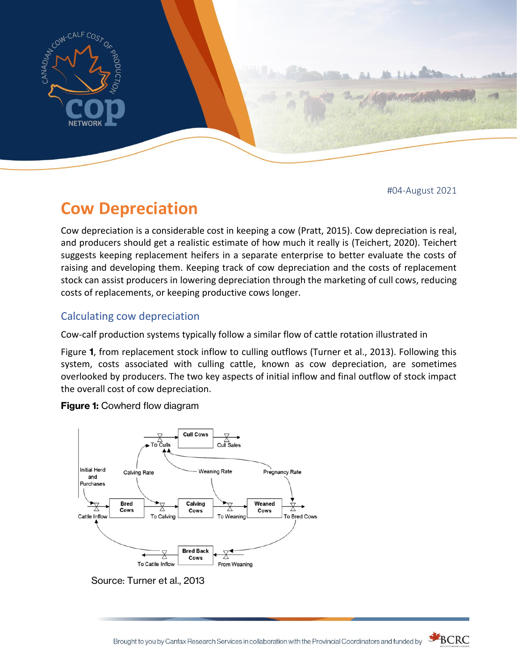

#04-August 2021

# **Cow Depreciation**

Cow depreciation is a considerable cost in keeping a cow (Pratt, 2015). Cow depreciation is real, and producers should get a realistic estimate of how much it really is (Teichert, 2020). Teichert suggests keeping replacement heifers in a separate enterprise to better evaluate the costs of raising and developing them. Keeping track of cow depreciation and the costs of replacement stock can assist producers in lowering depreciation through the marketing of cull cows, reducing costs of replacements, or keeping productive cows longer.

# Calculating cow depreciation

Cow-calf production systems typically follow a similar flow of cattle rotation illustrated in

[Figure](#page-0-0) **1**, from replacement stock inflow to culling outflows (Turner et al., 2013). Following this system, costs associated with culling cattle, known as cow depreciation, are sometimes overlooked by producers. The two key aspects of initial inflow and final outflow of stock impact the overall cost of cow depreciation.

<span id="page-0-0"></span>

**Figure 1:** Cowherd flow diagram

Source: Turner et al., 2013

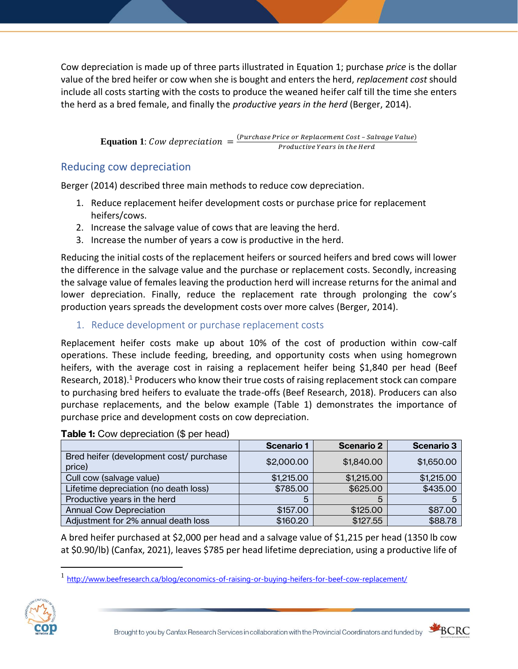Cow depreciation is made up of three parts illustrated in [Equation 1;](#page-1-0) purchase *price* is the dollar value of the bred heifer or cow when she is bought and enters the herd, *replacement cost* should include all costs starting with the costs to produce the weaned heifer calf till the time she enters the herd as a bred female, and finally the *productive years in the herd* (Berger, 2014).

> **Equation 1**: Cow depreciation  $=$   $\frac{(Purchase Price or Replacement Cost - Salvage Value)}{preduction Years in the Uard}$ Productive Years in the Herd

## <span id="page-1-0"></span>Reducing cow depreciation

Berger (2014) described three main methods to reduce cow depreciation.

- 1. Reduce replacement heifer development costs or purchase price for replacement heifers/cows.
- 2. Increase the salvage value of cows that are leaving the herd.
- 3. Increase the number of years a cow is productive in the herd.

Reducing the initial costs of the replacement heifers or sourced heifers and bred cows will lower the difference in the salvage value and the purchase or replacement costs. Secondly, increasing the salvage value of females leaving the production herd will increase returns for the animal and lower depreciation. Finally, reduce the replacement rate through prolonging the cow's production years spreads the development costs over more calves (Berger, 2014).

1. Reduce development or purchase replacement costs

Replacement heifer costs make up about 10% of the cost of production within cow-calf operations. These include feeding, breeding, and opportunity costs when using homegrown heifers, with the average cost in raising a replacement heifer being \$1,840 per head (Beef Research, 2018).<sup>1</sup> Producers who know their true costs of raising replacement stock can compare to purchasing bred heifers to evaluate the trade-offs (Beef Research, 2018). Producers can also purchase replacements, and the below example [\(Table 1\)](#page-1-1) demonstrates the importance of purchase price and development costs on cow depreciation.

|                                                   | <b>Scenario 1</b> | <b>Scenario 2</b> | <b>Scenario 3</b> |
|---------------------------------------------------|-------------------|-------------------|-------------------|
| Bred heifer (development cost/ purchase<br>price) | \$2,000.00        | \$1,840.00        | \$1,650.00        |
| Cull cow (salvage value)                          | \$1,215.00        | \$1,215.00        | \$1,215.00        |
| Lifetime depreciation (no death loss)             | \$785.00          | \$625.00          | \$435.00          |
| Productive years in the herd                      | 5                 | 5                 |                   |
| <b>Annual Cow Depreciation</b>                    | \$157.00          | \$125.00          | \$87.00           |
| Adjustment for 2% annual death loss               | \$160.20          | \$127.55          | \$88.78           |

<span id="page-1-1"></span>**Table 1:** Cow depreciation (\$ per head)

A bred heifer purchased at \$2,000 per head and a salvage value of \$1,215 per head (1350 lb cow at \$0.90/lb) (Canfax, 2021), leaves \$785 per head lifetime depreciation, using a productive life of

<sup>&</sup>lt;sup>1</sup> <http://www.beefresearch.ca/blog/economics-of-raising-or-buying-heifers-for-beef-cow-replacement/>



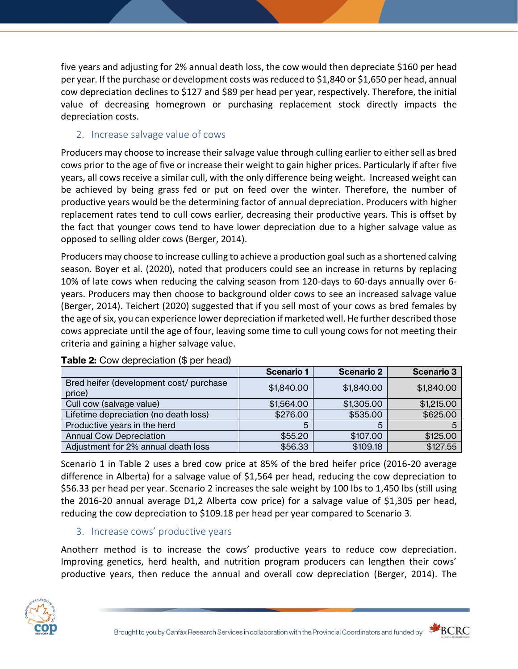five years and adjusting for 2% annual death loss, the cow would then depreciate \$160 per head per year. If the purchase or development costs was reduced to \$1,840 or \$1,650 per head, annual cow depreciation declines to \$127 and \$89 per head per year, respectively. Therefore, the initial value of decreasing homegrown or purchasing replacement stock directly impacts the depreciation costs.

## 2. Increase salvage value of cows

Producers may choose to increase their salvage value through culling earlier to either sell as bred cows prior to the age of five or increase their weight to gain higher prices. Particularly if after five years, all cows receive a similar cull, with the only difference being weight. Increased weight can be achieved by being grass fed or put on feed over the winter. Therefore, the number of productive years would be the determining factor of annual depreciation. Producers with higher replacement rates tend to cull cows earlier, decreasing their productive years. This is offset by the fact that younger cows tend to have lower depreciation due to a higher salvage value as opposed to selling older cows (Berger, 2014).

Producers may choose to increase culling to achieve a production goal such as a shortened calving season. Boyer et al. (2020), noted that producers could see an increase in returns by replacing 10% of late cows when reducing the calving season from 120-days to 60-days annually over 6 years. Producers may then choose to background older cows to see an increased salvage value (Berger, 2014). Teichert (2020) suggested that if you sell most of your cows as bred females by the age of six, you can experience lower depreciation if marketed well. He further described those cows appreciate until the age of four, leaving some time to cull young cows for not meeting their criteria and gaining a higher salvage value.

|                                                   | <b>Scenario 1</b> | <b>Scenario 2</b> | <b>Scenario 3</b> |
|---------------------------------------------------|-------------------|-------------------|-------------------|
| Bred heifer (development cost/ purchase<br>price) | \$1,840.00        | \$1,840.00        | \$1,840.00        |
| Cull cow (salvage value)                          | \$1,564.00        | \$1,305.00        | \$1,215.00        |
| Lifetime depreciation (no death loss)             | \$276.00          | \$535.00          | \$625.00          |
| Productive years in the herd                      | 5                 | h.                |                   |
| <b>Annual Cow Depreciation</b>                    | \$55.20           | \$107.00          | \$125.00          |
| Adjustment for 2% annual death loss               | \$56.33           | \$109.18          | \$127.55          |

## **Table 2:** Cow depreciation (\$ per head)

Scenario 1 in Table 2 uses a bred cow price at 85% of the bred heifer price (2016-20 average difference in Alberta) for a salvage value of \$1,564 per head, reducing the cow depreciation to \$56.33 per head per year. Scenario 2 increases the sale weight by 100 lbs to 1,450 lbs (still using the 2016-20 annual average D1,2 Alberta cow price) for a salvage value of \$1,305 per head, reducing the cow depreciation to \$109.18 per head per year compared to Scenario 3.

# 3. Increase cows' productive years

Anotherr method is to increase the cows' productive years to reduce cow depreciation. Improving genetics, herd health, and nutrition program producers can lengthen their cows' productive years, then reduce the annual and overall cow depreciation (Berger, 2014). The



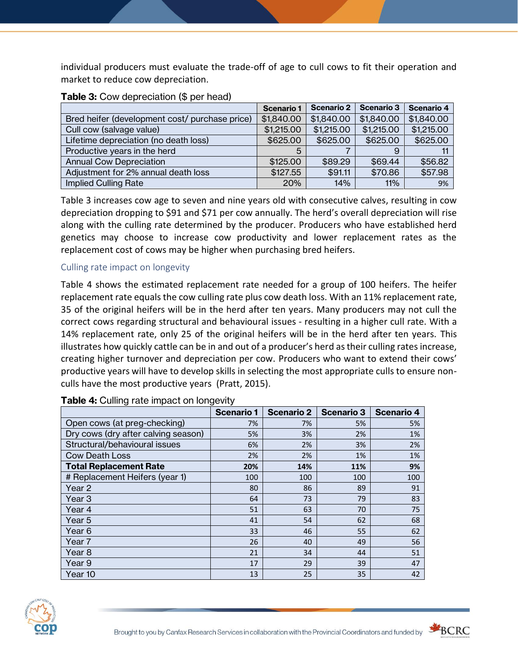individual producers must evaluate the trade-off of age to cull cows to fit their operation and market to reduce cow depreciation.

|                                                | <b>Scenario 1</b> | Scenario 2 | <b>Scenario 3</b> | Scenario 4 |
|------------------------------------------------|-------------------|------------|-------------------|------------|
| Bred heifer (development cost/ purchase price) | \$1,840.00        | \$1,840.00 | \$1,840.00        | \$1,840.00 |
| Cull cow (salvage value)                       | \$1,215.00        | \$1,215.00 | \$1,215.00        | \$1,215.00 |
| Lifetime depreciation (no death loss)          | \$625.00          | \$625.00   | \$625.00          | \$625.00   |
| Productive years in the herd                   | 5                 |            |                   |            |
| <b>Annual Cow Depreciation</b>                 | \$125,00          | \$89.29    | \$69.44           | \$56.82    |
| Adjustment for 2% annual death loss            | \$127.55          | \$91.11    | \$70.86           | \$57.98    |
| <b>Implied Culling Rate</b>                    | 20%               | 14%        | 11%               | 9%         |

#### **Table 3:** Cow depreciation (\$ per head)

Table 3 increases cow age to seven and nine years old with consecutive calves, resulting in cow depreciation dropping to \$91 and \$71 per cow annually. The herd's overall depreciation will rise along with the culling rate determined by the producer. Producers who have established herd genetics may choose to increase cow productivity and lower replacement rates as the replacement cost of cows may be higher when purchasing bred heifers.

#### Culling rate impact on longevity

[Table 4](#page-3-0) shows the estimated replacement rate needed for a group of 100 heifers. The heifer replacement rate equals the cow culling rate plus cow death loss. With an 11% replacement rate, 35 of the original heifers will be in the herd after ten years. Many producers may not cull the correct cows regarding structural and behavioural issues - resulting in a higher cull rate. With a 14% replacement rate, only 25 of the original heifers will be in the herd after ten years. This illustrates how quickly cattle can be in and out of a producer's herd as their culling rates increase, creating higher turnover and depreciation per cow. Producers who want to extend their cows' productive years will have to develop skills in selecting the most appropriate culls to ensure nonculls have the most productive years (Pratt, 2015).

| ັ                                   | <b>Scenario 1</b> | <b>Scenario 2</b> | <b>Scenario 3</b> | <b>Scenario 4</b> |
|-------------------------------------|-------------------|-------------------|-------------------|-------------------|
| Open cows (at preg-checking)        | 7%                | 7%                | 5%                | 5%                |
| Dry cows (dry after calving season) | 5%                | 3%                | 2%                | 1%                |
| Structural/behavioural issues       | 6%                | 2%                | 3%                | 2%                |
| <b>Cow Death Loss</b>               | 2%                | 2%                | 1%                | 1%                |
| <b>Total Replacement Rate</b>       | 20%               | 14%               | 11%               | 9%                |
| # Replacement Heifers (year 1)      | 100               | 100               | 100               | 100               |
| Year 2                              | 80                | 86                | 89                | 91                |
| Year 3                              | 64                | 73                | 79                | 83                |
| Year 4                              | 51                | 63                | 70                | 75                |
| Year 5                              | 41                | 54                | 62                | 68                |
| Year 6                              | 33                | 46                | 55                | 62                |
| Year 7                              | 26                | 40                | 49                | 56                |
| Year 8                              | 21                | 34                | 44                | 51                |
| Year 9                              | 17                | 29                | 39                | 47                |
| Year 10                             | 13                | 25                | 35                | 42                |

#### <span id="page-3-0"></span>**Table 4:** Culling rate impact on longevity